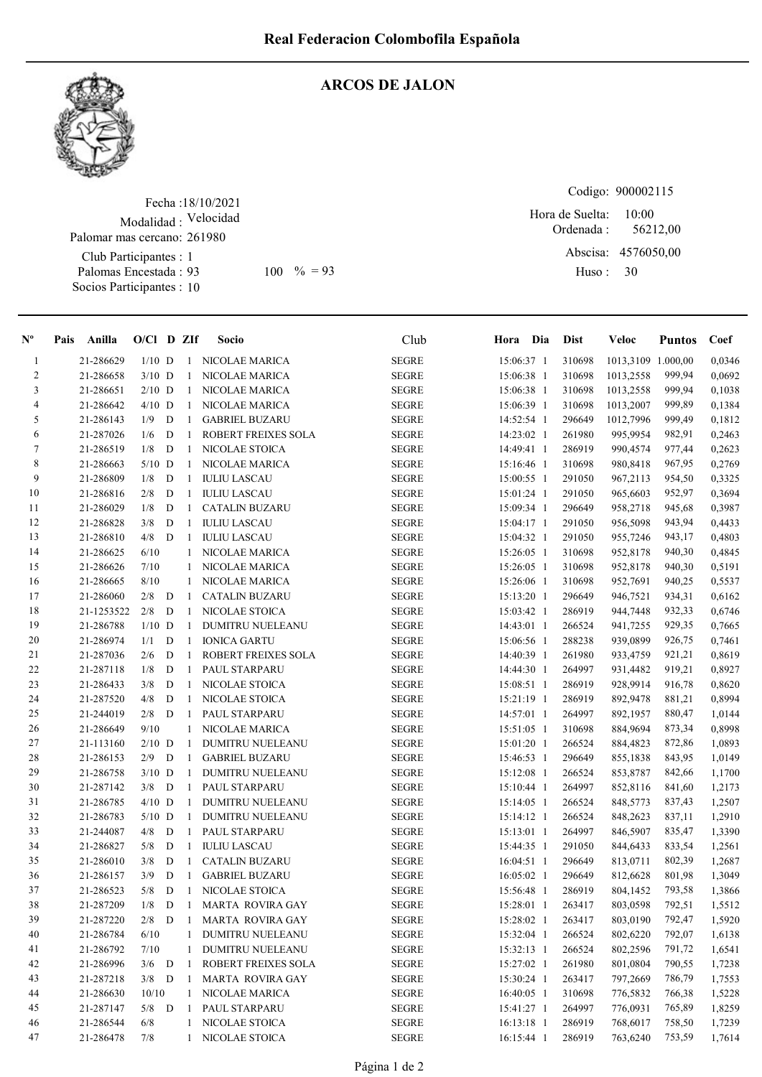

## ARCOS DE JALON

Fecha : 18/10/2021 Modalidad : Velocidad Club Participantes : 1 Palomar mas cercano: 261980

Palomas Encestada : Socios Participantes : 10

Codigo: 900002115

Ordenada : Abscisa: 4576050,00 Huso : 10:00  $100 \, \frac{9}{6} = 93$  Huso: 30 Hora de Suelta: 56212,00

| $N^{\circ}$    | Pais Anilla |            | $O/Cl$ D ZIf |   |              | Socio                      | Club          | Hora Dia   | Dist   | Veloc              | <b>Puntos</b> | Coef   |
|----------------|-------------|------------|--------------|---|--------------|----------------------------|---------------|------------|--------|--------------------|---------------|--------|
| $\mathbf{1}$   |             | 21-286629  | $1/10$ D     |   | -1           | NICOLAE MARICA             | <b>SEGRE</b>  | 15:06:37 1 | 310698 | 1013,3109 1.000,00 |               | 0,0346 |
| $\overline{2}$ |             | 21-286658  | $3/10$ D     |   | -1           | NICOLAE MARICA             | <b>SEGRE</b>  | 15:06:38 1 | 310698 | 1013,2558          | 999,94        | 0,0692 |
| 3              |             | 21-286651  | $2/10$ D     |   | $\mathbf{1}$ | <b>NICOLAE MARICA</b>      | <b>SEGRE</b>  | 15:06:38 1 | 310698 | 1013,2558          | 999,94        | 0,1038 |
| 4              |             | 21-286642  | $4/10$ D     |   | 1            | NICOLAE MARICA             | <b>SEGRE</b>  | 15:06:39 1 | 310698 | 1013,2007          | 999,89        | 0,1384 |
| 5              |             | 21-286143  | 1/9          | D | 1            | <b>GABRIEL BUZARU</b>      | <b>SEGRE</b>  | 14:52:54 1 | 296649 | 1012,7996          | 999,49        | 0,1812 |
| 6              |             | 21-287026  | 1/6          | D | 1            | ROBERT FREIXES SOLA        | <b>SEGRE</b>  | 14:23:02 1 | 261980 | 995,9954           | 982,91        | 0,2463 |
| $\tau$         |             | 21-286519  | 1/8          | D | 1            | NICOLAE STOICA             | <b>SEGRE</b>  | 14:49:41 1 | 286919 | 990,4574           | 977,44        | 0,2623 |
| $\,$ $\,$      |             | 21-286663  | $5/10$ D     |   | 1            | NICOLAE MARICA             | <b>SEGRE</b>  | 15:16:46 1 | 310698 | 980,8418           | 967,95        | 0,2769 |
| 9              |             | 21-286809  | 1/8          | D | $\mathbf{1}$ | <b>IULIU LASCAU</b>        | <b>SEGRE</b>  | 15:00:55 1 | 291050 | 967,2113           | 954,50        | 0,3325 |
| $10\,$         |             | 21-286816  | 2/8          | D | $\mathbf{1}$ | <b>IULIU LASCAU</b>        | <b>SEGRE</b>  | 15:01:24 1 | 291050 | 965,6603           | 952,97        | 0,3694 |
| 11             |             | 21-286029  | 1/8          | D | -1           | <b>CATALIN BUZARU</b>      | <b>SEGRE</b>  | 15:09:34 1 | 296649 | 958,2718           | 945,68        | 0,3987 |
| 12             |             | 21-286828  | 3/8          | D | $\mathbf{1}$ | <b>IULIU LASCAU</b>        | <b>SEGRE</b>  | 15:04:17 1 | 291050 | 956,5098           | 943,94        | 0,4433 |
| 13             |             | 21-286810  | 4/8          | D | -1           | <b>IULIU LASCAU</b>        | <b>SEGRE</b>  | 15:04:32 1 | 291050 | 955,7246           | 943,17        | 0,4803 |
| 14             |             | 21-286625  | 6/10         |   | 1            | NICOLAE MARICA             | <b>SEGRE</b>  | 15:26:05 1 | 310698 | 952,8178           | 940,30        | 0,4845 |
| 15             |             | 21-286626  | 7/10         |   | 1            | <b>NICOLAE MARICA</b>      | <b>SEGRE</b>  | 15:26:05 1 | 310698 | 952,8178           | 940,30        | 0,5191 |
| 16             |             | 21-286665  | 8/10         |   |              | 1 NICOLAE MARICA           | <b>SEGRE</b>  | 15:26:06 1 | 310698 | 952,7691           | 940,25        | 0,5537 |
| 17             |             | 21-286060  | 2/8          | D | -1           | <b>CATALIN BUZARU</b>      | <b>SEGRE</b>  | 15:13:20 1 | 296649 | 946,7521           | 934,31        | 0,6162 |
| $1\,8$         |             | 21-1253522 | 2/8          | D | $\mathbf{1}$ | <b>NICOLAE STOICA</b>      | <b>SEGRE</b>  | 15:03:42 1 | 286919 | 944,7448           | 932,33        | 0,6746 |
| 19             |             | 21-286788  | $1/10$ D     |   | 1            | <b>DUMITRU NUELEANU</b>    | <b>SEGRE</b>  | 14:43:01 1 | 266524 | 941,7255           | 929,35        | 0,7665 |
| 20             |             | 21-286974  | 1/1          | D | 1            | <b>IONICA GARTU</b>        | <b>SEGRE</b>  | 15:06:56 1 | 288238 | 939,0899           | 926,75        | 0,7461 |
| 21             |             | 21-287036  | 2/6          | D | -1           | ROBERT FREIXES SOLA        | <b>SEGRE</b>  | 14:40:39 1 | 261980 | 933,4759           | 921,21        | 0,8619 |
| $22\,$         |             | 21-287118  | 1/8          | D | -1           | PAUL STARPARU              | <b>SEGRE</b>  | 14:44:30 1 | 264997 | 931,4482           | 919,21        | 0,8927 |
| 23             |             | 21-286433  | 3/8          | D | -1           | NICOLAE STOICA             | <b>SEGRE</b>  | 15:08:51 1 | 286919 | 928,9914           | 916,78        | 0,8620 |
| 24             |             | 21-287520  | 4/8          | D | -1           | NICOLAE STOICA             | <b>SEGRE</b>  | 15:21:19 1 | 286919 | 892,9478           | 881,21        | 0,8994 |
| 25             |             | 21-244019  | 2/8          | D | -1           | PAUL STARPARU              | <b>SEGRE</b>  | 14:57:01 1 | 264997 | 892,1957           | 880,47        | 1,0144 |
| 26             |             | 21-286649  | 9/10         |   | 1            | NICOLAE MARICA             | <b>SEGRE</b>  | 15:51:05 1 | 310698 | 884,9694           | 873,34        | 0,8998 |
| 27             |             | 21-113160  | $2/10$ D     |   | -1           | <b>DUMITRU NUELEANU</b>    | ${\tt SEGRE}$ | 15:01:20 1 | 266524 | 884,4823           | 872,86        | 1,0893 |
| $28\,$         |             | 21-286153  | 2/9          | D | 1            | <b>GABRIEL BUZARU</b>      | <b>SEGRE</b>  | 15:46:53 1 | 296649 | 855,1838           | 843,95        | 1,0149 |
| 29             |             | 21-286758  | $3/10$ D     |   | $\mathbf{1}$ | <b>DUMITRU NUELEANU</b>    | <b>SEGRE</b>  | 15:12:08 1 | 266524 | 853,8787           | 842,66        | 1,1700 |
| 30             |             | 21-287142  | 3/8          | D | $\mathbf{1}$ | PAUL STARPARU              | <b>SEGRE</b>  | 15:10:44 1 | 264997 | 852,8116           | 841,60        | 1,2173 |
| 31             |             | 21-286785  | $4/10$ D     |   | 1            | DUMITRU NUELEANU           | <b>SEGRE</b>  | 15:14:05 1 | 266524 | 848,5773           | 837,43        | 1,2507 |
| 32             |             | 21-286783  | $5/10$ D     |   | -1           | <b>DUMITRU NUELEANU</b>    | <b>SEGRE</b>  | 15:14:12 1 | 266524 | 848,2623           | 837,11        | 1,2910 |
| 33             |             | 21-244087  | 4/8          | D | $\mathbf{1}$ | PAUL STARPARU              | <b>SEGRE</b>  | 15:13:01 1 | 264997 | 846,5907           | 835,47        | 1,3390 |
| 34             |             | 21-286827  | 5/8          | D | $\mathbf{1}$ | <b>IULIU LASCAU</b>        | <b>SEGRE</b>  | 15:44:35 1 | 291050 | 844,6433           | 833,54        | 1,2561 |
| 35             |             | 21-286010  | 3/8          | D | -1           | <b>CATALIN BUZARU</b>      | <b>SEGRE</b>  | 16:04:51 1 | 296649 | 813,0711           | 802,39        | 1,2687 |
| 36             |             | 21-286157  | 3/9          | D | -1           | <b>GABRIEL BUZARU</b>      | <b>SEGRE</b>  | 16:05:02 1 | 296649 | 812,6628           | 801,98        | 1,3049 |
| 37             |             | 21-286523  | 5/8          | D | -1           | NICOLAE STOICA             | <b>SEGRE</b>  | 15:56:48 1 | 286919 | 804,1452           | 793,58        | 1,3866 |
| 38             |             | 21-287209  | 1/8          | D | 1            | MARTA ROVIRA GAY           | ${\tt SEGRE}$ | 15:28:01 1 | 263417 | 803,0598           | 792,51        | 1,5512 |
| 39             |             | 21-287220  | 2/8          | D | -1           | MARTA ROVIRA GAY           | <b>SEGRE</b>  | 15:28:02 1 | 263417 | 803,0190           | 792,47        | 1,5920 |
| $40\,$         |             | 21-286784  | 6/10         |   | $\mathbf{1}$ | DUMITRU NUELEANU           | <b>SEGRE</b>  | 15:32:04 1 | 266524 | 802,6220           | 792,07        | 1,6138 |
| 41             |             | 21-286792  | 7/10         |   |              | 1 DUMITRU NUELEANU         | <b>SEGRE</b>  | 15:32:13 1 | 266524 | 802,2596           | 791,72        | 1,6541 |
| 42             |             | 21-286996  | $3/6$ D      |   | 1            | <b>ROBERT FREIXES SOLA</b> | <b>SEGRE</b>  | 15:27:02 1 | 261980 | 801,0804           | 790,55        | 1,7238 |
| 43             |             | 21-287218  | $3/8$ D      |   | 1            | <b>MARTA ROVIRA GAY</b>    | <b>SEGRE</b>  | 15:30:24 1 | 263417 | 797,2669           | 786,79        | 1,7553 |
| 44             |             | 21-286630  | 10/10        |   | $\mathbf{1}$ | NICOLAE MARICA             | <b>SEGRE</b>  | 16:40:05 1 | 310698 | 776,5832           | 766,38        | 1,5228 |
| 45             |             | 21-287147  | $5/8$ D      |   | $\mathbf{1}$ | PAUL STARPARU              | ${\tt SEGRE}$ | 15:41:27 1 | 264997 | 776,0931           | 765,89        | 1,8259 |
| 46             |             | 21-286544  | 6/8          |   | $\mathbf{1}$ | NICOLAE STOICA             | <b>SEGRE</b>  | 16:13:18 1 | 286919 | 768,6017           | 758,50        | 1,7239 |
| 47             |             | 21-286478  | 7/8          |   | 1            | NICOLAE STOICA             | <b>SEGRE</b>  | 16:15:44 1 | 286919 | 763,6240           | 753,59        | 1,7614 |